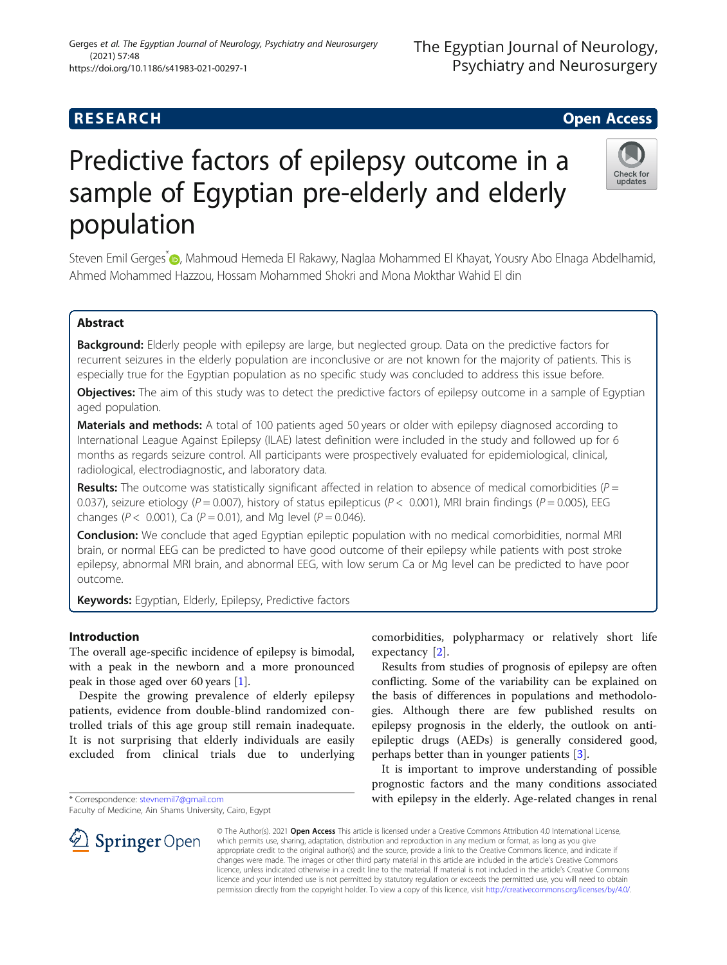(2021) 57:48

# Predictive factors of epilepsy outcome in a sample of Egyptian pre-elderly and elderly population

Steven Emil Gerges<sup>\*</sup> (D, Mahmoud Hemeda El Rakawy, Naglaa Mohammed El Khayat, Yousry Abo Elnaga Abdelhamid, Ahmed Mohammed Hazzou, Hossam Mohammed Shokri and Mona Mokthar Wahid El din

# Abstract

Background: Elderly people with epilepsy are large, but neglected group. Data on the predictive factors for recurrent seizures in the elderly population are inconclusive or are not known for the majority of patients. This is especially true for the Egyptian population as no specific study was concluded to address this issue before.

Objectives: The aim of this study was to detect the predictive factors of epilepsy outcome in a sample of Egyptian aged population.

Materials and methods: A total of 100 patients aged 50 years or older with epilepsy diagnosed according to International League Against Epilepsy (ILAE) latest definition were included in the study and followed up for 6 months as regards seizure control. All participants were prospectively evaluated for epidemiological, clinical, radiological, electrodiagnostic, and laboratory data.

**Results:** The outcome was statistically significant affected in relation to absence of medical comorbidities ( $P =$ 0.037), seizure etiology (P = 0.007), history of status epilepticus (P < 0.001), MRI brain findings (P = 0.005), EEG changes ( $P < 0.001$ ), Ca ( $P = 0.01$ ), and Mg level ( $P = 0.046$ ).

**Conclusion:** We conclude that aged Egyptian epileptic population with no medical comorbidities, normal MRI brain, or normal EEG can be predicted to have good outcome of their epilepsy while patients with post stroke epilepsy, abnormal MRI brain, and abnormal EEG, with low serum Ca or Mg level can be predicted to have poor outcome.

Keywords: Egyptian, Elderly, Epilepsy, Predictive factors

## Introduction

The overall age-specific incidence of epilepsy is bimodal, with a peak in the newborn and a more pronounced peak in those aged over 60 years [\[1\]](#page-5-0).

Despite the growing prevalence of elderly epilepsy patients, evidence from double-blind randomized controlled trials of this age group still remain inadequate. It is not surprising that elderly individuals are easily excluded from clinical trials due to underlying

\* Correspondence: [stevnemil7@gmail.com](mailto:stevnemil7@gmail.com)

SpringerOpen

Faculty of Medicine, Ain Shams University, Cairo, Egypt

comorbidities, polypharmacy or relatively short life expectancy [[2\]](#page-5-0).

Results from studies of prognosis of epilepsy are often conflicting. Some of the variability can be explained on the basis of differences in populations and methodologies. Although there are few published results on epilepsy prognosis in the elderly, the outlook on antiepileptic drugs (AEDs) is generally considered good, perhaps better than in younger patients [[3\]](#page-5-0).

It is important to improve understanding of possible prognostic factors and the many conditions associated with epilepsy in the elderly. Age-related changes in renal

© The Author(s). 2021 Open Access This article is licensed under a Creative Commons Attribution 4.0 International License, which permits use, sharing, adaptation, distribution and reproduction in any medium or format, as long as you give appropriate credit to the original author(s) and the source, provide a link to the Creative Commons licence, and indicate if changes were made. The images or other third party material in this article are included in the article's Creative Commons licence, unless indicated otherwise in a credit line to the material. If material is not included in the article's Creative Commons licence and your intended use is not permitted by statutory regulation or exceeds the permitted use, you will need to obtain permission directly from the copyright holder. To view a copy of this licence, visit <http://creativecommons.org/licenses/by/4.0/>.



Gerges et al. The Egyptian Journal of Neurology, Psychiatry and Neurosurgery



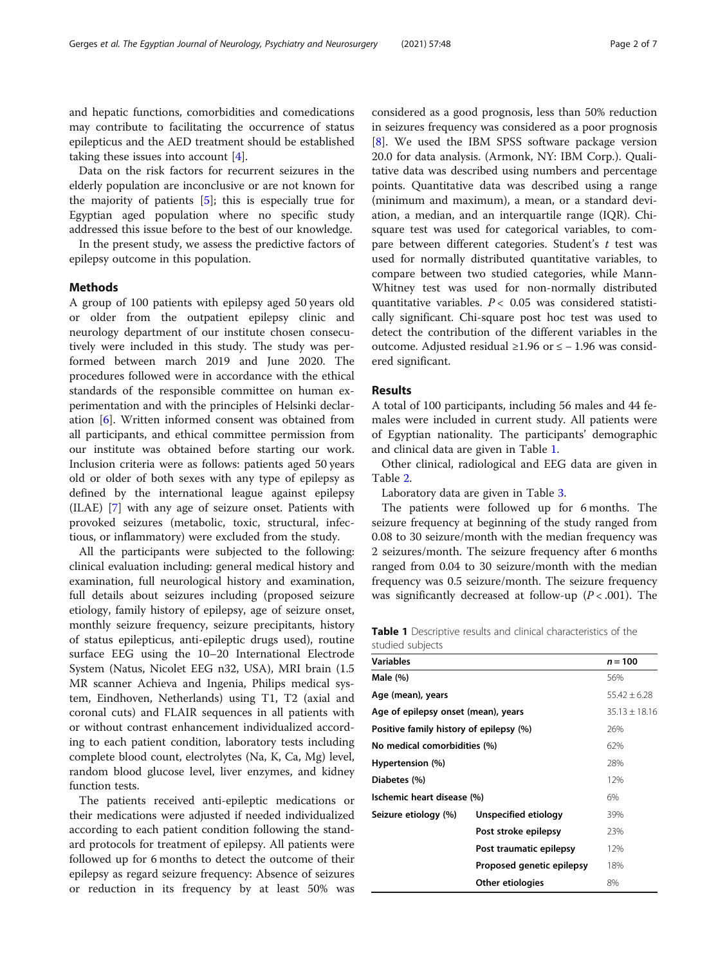and hepatic functions, comorbidities and comedications may contribute to facilitating the occurrence of status epilepticus and the AED treatment should be established taking these issues into account [[4\]](#page-5-0).

Data on the risk factors for recurrent seizures in the elderly population are inconclusive or are not known for the majority of patients  $[5]$  $[5]$ ; this is especially true for Egyptian aged population where no specific study addressed this issue before to the best of our knowledge.

In the present study, we assess the predictive factors of epilepsy outcome in this population.

#### Methods

A group of 100 patients with epilepsy aged 50 years old or older from the outpatient epilepsy clinic and neurology department of our institute chosen consecutively were included in this study. The study was performed between march 2019 and June 2020. The procedures followed were in accordance with the ethical standards of the responsible committee on human experimentation and with the principles of Helsinki declaration [[6](#page-5-0)]. Written informed consent was obtained from all participants, and ethical committee permission from our institute was obtained before starting our work. Inclusion criteria were as follows: patients aged 50 years old or older of both sexes with any type of epilepsy as defined by the international league against epilepsy (ILAE) [[7\]](#page-5-0) with any age of seizure onset. Patients with provoked seizures (metabolic, toxic, structural, infectious, or inflammatory) were excluded from the study.

All the participants were subjected to the following: clinical evaluation including: general medical history and examination, full neurological history and examination, full details about seizures including (proposed seizure etiology, family history of epilepsy, age of seizure onset, monthly seizure frequency, seizure precipitants, history of status epilepticus, anti-epileptic drugs used), routine surface EEG using the 10–20 International Electrode System (Natus, Nicolet EEG n32, USA), MRI brain (1.5 MR scanner Achieva and Ingenia, Philips medical system, Eindhoven, Netherlands) using T1, T2 (axial and coronal cuts) and FLAIR sequences in all patients with or without contrast enhancement individualized according to each patient condition, laboratory tests including complete blood count, electrolytes (Na, K, Ca, Mg) level, random blood glucose level, liver enzymes, and kidney function tests.

The patients received anti-epileptic medications or their medications were adjusted if needed individualized according to each patient condition following the standard protocols for treatment of epilepsy. All patients were followed up for 6 months to detect the outcome of their epilepsy as regard seizure frequency: Absence of seizures or reduction in its frequency by at least 50% was considered as a good prognosis, less than 50% reduction in seizures frequency was considered as a poor prognosis [[8\]](#page-5-0). We used the IBM SPSS software package version 20.0 for data analysis. (Armonk, NY: IBM Corp.). Qualitative data was described using numbers and percentage points. Quantitative data was described using a range (minimum and maximum), a mean, or a standard deviation, a median, and an interquartile range (IQR). Chisquare test was used for categorical variables, to compare between different categories. Student's  $t$  test was used for normally distributed quantitative variables, to compare between two studied categories, while Mann-Whitney test was used for non-normally distributed quantitative variables.  $P < 0.05$  was considered statistically significant. Chi-square post hoc test was used to detect the contribution of the different variables in the outcome. Adjusted residual ≥1.96 or ≤ − 1.96 was considered significant.

#### **Results**

A total of 100 participants, including 56 males and 44 females were included in current study. All patients were of Egyptian nationality. The participants' demographic and clinical data are given in Table 1.

Other clinical, radiological and EEG data are given in Table [2.](#page-2-0)

Laboratory data are given in Table [3](#page-2-0).

The patients were followed up for 6 months. The seizure frequency at beginning of the study ranged from 0.08 to 30 seizure/month with the median frequency was 2 seizures/month. The seizure frequency after 6 months ranged from 0.04 to 30 seizure/month with the median frequency was 0.5 seizure/month. The seizure frequency was significantly decreased at follow-up  $(P < .001)$ . The

Table 1 Descriptive results and clinical characteristics of the studied subjects

| <b>Variables</b>                        |                           | $n = 100$        |
|-----------------------------------------|---------------------------|------------------|
| Male $(\%)$                             |                           | 56%              |
| Age (mean), years                       |                           | $55.42 \pm 6.28$ |
| Age of epilepsy onset (mean), years     | $35.13 + 18.16$           |                  |
| Positive family history of epilepsy (%) |                           | 26%              |
| No medical comorbidities (%)            | 62%                       |                  |
| Hypertension (%)                        |                           | 28%              |
| Diabetes (%)                            |                           | 12%              |
| Ischemic heart disease (%)              |                           | 6%               |
| Seizure etiology (%)                    | Unspecified etiology      | 39%              |
|                                         | Post stroke epilepsy      | 23%              |
|                                         | Post traumatic epilepsy   | 12%              |
|                                         | Proposed genetic epilepsy | 18%              |
|                                         | Other etiologies          | 8%               |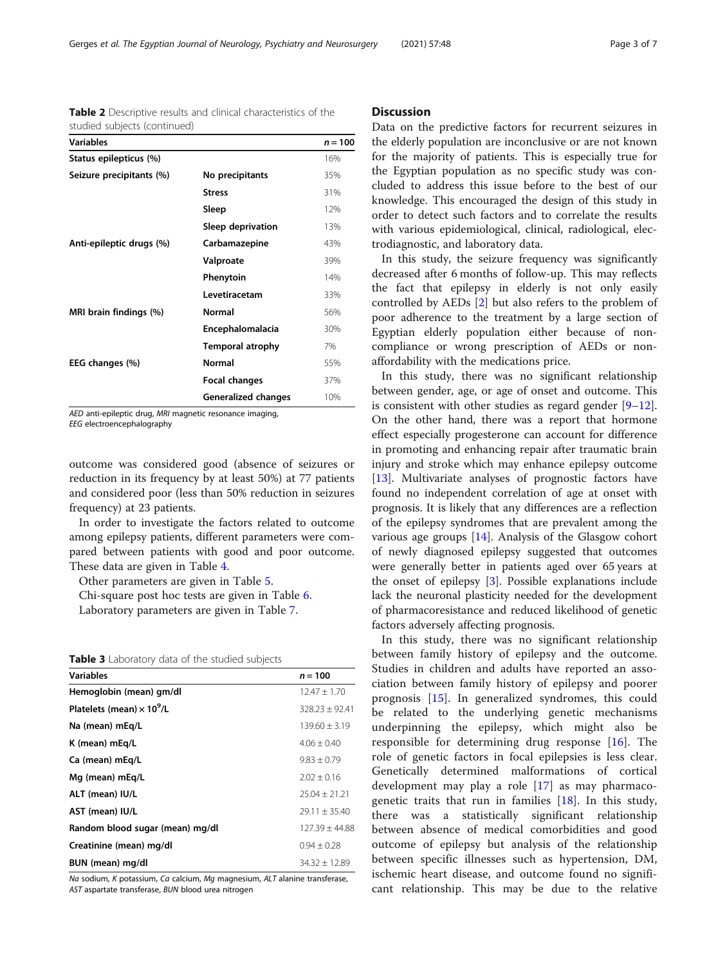| studied subjects (continued) |                     |           |
|------------------------------|---------------------|-----------|
| <b>Variables</b>             |                     | $n = 100$ |
| Status epilepticus (%)       |                     | 16%       |
| Seizure precipitants (%)     | No precipitants     | 35%       |
|                              | <b>Stress</b>       | 31%       |
|                              | Sleep               | 12%       |
|                              | Sleep deprivation   | 13%       |
| Anti-epileptic drugs (%)     | Carbamazepine       | 43%       |
|                              | Valproate           | 39%       |
|                              | Phenytoin           | 14%       |
|                              | Levetiracetam       | 33%       |
| MRI brain findings (%)       | Normal              | 56%       |
|                              | Encephalomalacia    | 30%       |
|                              | Temporal atrophy    | 7%        |
| EEG changes (%)              | Normal              | 55%       |
|                              | Focal changes       | 37%       |
|                              | Generalized changes | 10%       |

<span id="page-2-0"></span>Table 2 Descriptive results and clinical characteristics of the studied subjects (continued)

AED anti-epileptic drug, MRI magnetic resonance imaging, EEG electroencephalography

outcome was considered good (absence of seizures or reduction in its frequency by at least 50%) at 77 patients and considered poor (less than 50% reduction in seizures frequency) at 23 patients.

In order to investigate the factors related to outcome among epilepsy patients, different parameters were compared between patients with good and poor outcome. These data are given in Table [4.](#page-3-0)

Other parameters are given in Table [5.](#page-3-0)

Chi-square post hoc tests are given in Table [6](#page-4-0).

Laboratory parameters are given in Table [7](#page-4-0).

| Table 3 Laboratory data of the studied subjects |  |  |  |  |  |  |  |
|-------------------------------------------------|--|--|--|--|--|--|--|
|-------------------------------------------------|--|--|--|--|--|--|--|

| <b>Variables</b>                             | $n = 100$          |
|----------------------------------------------|--------------------|
| Hemoglobin (mean) gm/dl                      | $12.47 \pm 1.70$   |
| Platelets (mean) $\times$ 10 <sup>9</sup> /L | $328.23 \pm 92.41$ |
| Na (mean) mEq/L                              | $139.60 \pm 3.19$  |
| K (mean) mEg/L                               | $4.06 + 0.40$      |
| Ca (mean) mEg/L                              | $9.83 \pm 0.79$    |
| Mg (mean) mEg/L                              | $2.02 \pm 0.16$    |
| ALT (mean) IU/L                              | $25.04 \pm 21.21$  |
| AST (mean) IU/L                              | $29.11 \pm 35.40$  |
| Random blood sugar (mean) mg/dl              | $127.39 \pm 44.88$ |
| Creatinine (mean) mg/dl                      | $0.94 + 0.28$      |
| BUN (mean) mg/dl                             | $34.32 \pm 12.89$  |

Na sodium, K potassium, Ca calcium, Ma magnesium, ALT alanine transferase, AST aspartate transferase, BUN blood urea nitrogen

#### **Discussion**

Data on the predictive factors for recurrent seizures in the elderly population are inconclusive or are not known for the majority of patients. This is especially true for the Egyptian population as no specific study was concluded to address this issue before to the best of our knowledge. This encouraged the design of this study in order to detect such factors and to correlate the results with various epidemiological, clinical, radiological, electrodiagnostic, and laboratory data.

In this study, the seizure frequency was significantly decreased after 6 months of follow-up. This may reflects the fact that epilepsy in elderly is not only easily controlled by AEDs [\[2](#page-5-0)] but also refers to the problem of poor adherence to the treatment by a large section of Egyptian elderly population either because of noncompliance or wrong prescription of AEDs or nonaffordability with the medications price.

In this study, there was no significant relationship between gender, age, or age of onset and outcome. This is consistent with other studies as regard gender  $[9-12]$  $[9-12]$  $[9-12]$  $[9-12]$  $[9-12]$ . On the other hand, there was a report that hormone effect especially progesterone can account for difference in promoting and enhancing repair after traumatic brain injury and stroke which may enhance epilepsy outcome [[13\]](#page-6-0). Multivariate analyses of prognostic factors have found no independent correlation of age at onset with prognosis. It is likely that any differences are a reflection of the epilepsy syndromes that are prevalent among the various age groups  $[14]$  $[14]$ . Analysis of the Glasgow cohort of newly diagnosed epilepsy suggested that outcomes were generally better in patients aged over 65 years at the onset of epilepsy [\[3\]](#page-5-0). Possible explanations include lack the neuronal plasticity needed for the development of pharmacoresistance and reduced likelihood of genetic factors adversely affecting prognosis.

In this study, there was no significant relationship between family history of epilepsy and the outcome. Studies in children and adults have reported an association between family history of epilepsy and poorer prognosis [[15\]](#page-6-0). In generalized syndromes, this could be related to the underlying genetic mechanisms underpinning the epilepsy, which might also be responsible for determining drug response [[16](#page-6-0)]. The role of genetic factors in focal epilepsies is less clear. Genetically determined malformations of cortical development may play a role [\[17](#page-6-0)] as may pharmacogenetic traits that run in families [[18\]](#page-6-0). In this study, there was a statistically significant relationship between absence of medical comorbidities and good outcome of epilepsy but analysis of the relationship between specific illnesses such as hypertension, DM, ischemic heart disease, and outcome found no significant relationship. This may be due to the relative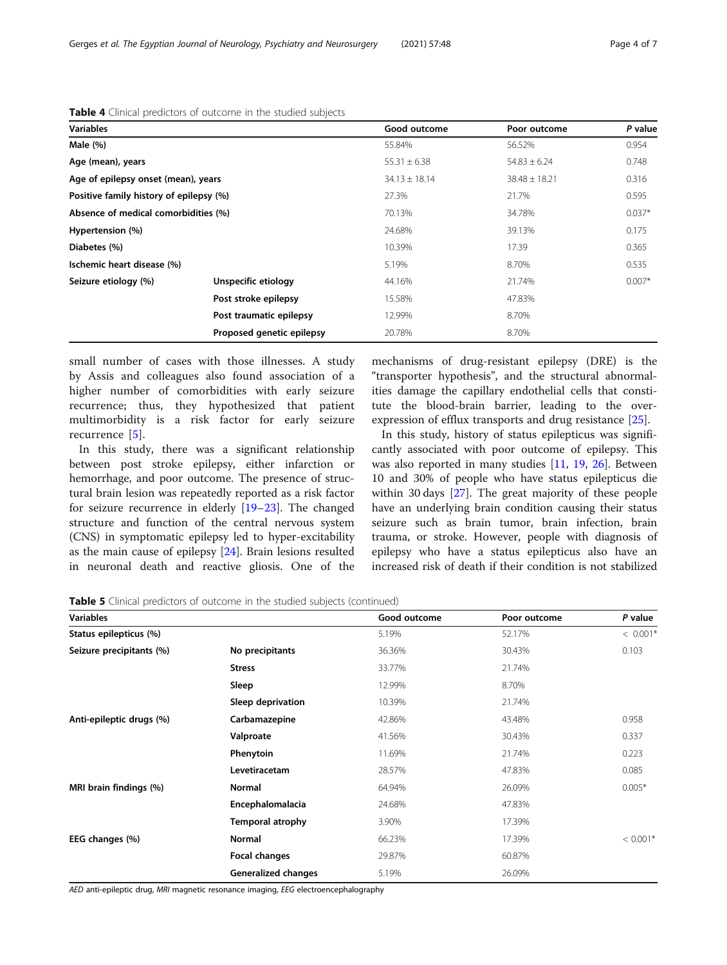| <b>Variables</b>                        |                           | Good outcome      | Poor outcome      | P value  |
|-----------------------------------------|---------------------------|-------------------|-------------------|----------|
| Male $(\%)$                             |                           | 55.84%            | 56.52%            | 0.954    |
| Age (mean), years                       |                           | $55.31 \pm 6.38$  | $54.83 \pm 6.24$  | 0.748    |
| Age of epilepsy onset (mean), years     |                           | $34.13 \pm 18.14$ | $38.48 \pm 18.21$ | 0.316    |
| Positive family history of epilepsy (%) |                           | 27.3%             | 21.7%             | 0.595    |
| Absence of medical comorbidities (%)    |                           | 70.13%            | 34.78%            | $0.037*$ |
| Hypertension (%)                        |                           | 24.68%            | 39.13%            | 0.175    |
| Diabetes (%)                            |                           | 10.39%            | 17.39             | 0.365    |
| Ischemic heart disease (%)              |                           | 5.19%             | 8.70%             | 0.535    |
| Seizure etiology (%)                    | Unspecific etiology       | 44.16%            | 21.74%            | $0.007*$ |
|                                         | Post stroke epilepsy      | 15.58%            | 47.83%            |          |
|                                         | Post traumatic epilepsy   | 12.99%            | 8.70%             |          |
|                                         | Proposed genetic epilepsy | 20.78%            | 8.70%             |          |

<span id="page-3-0"></span>Table 4 Clinical predictors of outcome in the studied subjects

small number of cases with those illnesses. A study by Assis and colleagues also found association of a higher number of comorbidities with early seizure recurrence; thus, they hypothesized that patient multimorbidity is a risk factor for early seizure recurrence [[5\]](#page-5-0).

In this study, there was a significant relationship between post stroke epilepsy, either infarction or hemorrhage, and poor outcome. The presence of structural brain lesion was repeatedly reported as a risk factor for seizure recurrence in elderly [[19](#page-6-0)–[23](#page-6-0)]. The changed structure and function of the central nervous system (CNS) in symptomatic epilepsy led to hyper-excitability as the main cause of epilepsy [[24](#page-6-0)]. Brain lesions resulted in neuronal death and reactive gliosis. One of the mechanisms of drug-resistant epilepsy (DRE) is the "transporter hypothesis", and the structural abnormalities damage the capillary endothelial cells that constitute the blood-brain barrier, leading to the overexpression of efflux transports and drug resistance [[25\]](#page-6-0).

In this study, history of status epilepticus was significantly associated with poor outcome of epilepsy. This was also reported in many studies [\[11,](#page-6-0) [19,](#page-6-0) [26](#page-6-0)]. Between 10 and 30% of people who have status epilepticus die within 30 days [[27\]](#page-6-0). The great majority of these people have an underlying brain condition causing their status seizure such as brain tumor, brain infection, brain trauma, or stroke. However, people with diagnosis of epilepsy who have a status epilepticus also have an increased risk of death if their condition is not stabilized

Table 5 Clinical predictors of outcome in the studied subjects (continued)

| <b>Variables</b>         |                            | Good outcome | Poor outcome | P value    |
|--------------------------|----------------------------|--------------|--------------|------------|
| Status epilepticus (%)   |                            | 5.19%        | 52.17%       | $< 0.001*$ |
| Seizure precipitants (%) | No precipitants            | 36.36%       | 30.43%       | 0.103      |
|                          | <b>Stress</b>              | 33.77%       | 21.74%       |            |
|                          | Sleep                      | 12.99%       | 8.70%        |            |
|                          | Sleep deprivation          | 10.39%       | 21.74%       |            |
| Anti-epileptic drugs (%) | Carbamazepine              | 42.86%       | 43.48%       | 0.958      |
|                          | Valproate                  | 41.56%       | 30.43%       | 0.337      |
|                          | Phenytoin                  | 11.69%       | 21.74%       | 0.223      |
|                          | Levetiracetam              | 28.57%       | 47.83%       | 0.085      |
| MRI brain findings (%)   | Normal                     | 64.94%       | 26.09%       | $0.005*$   |
|                          | Encephalomalacia           | 24.68%       | 47.83%       |            |
|                          | Temporal atrophy           | 3.90%        | 17.39%       |            |
| EEG changes (%)          | <b>Normal</b>              | 66.23%       | 17.39%       | $< 0.001*$ |
|                          | Focal changes              | 29.87%       | 60.87%       |            |
|                          | <b>Generalized changes</b> | 5.19%        | 26.09%       |            |

AED anti-epileptic drug, MRI magnetic resonance imaging, EEG electroencephalography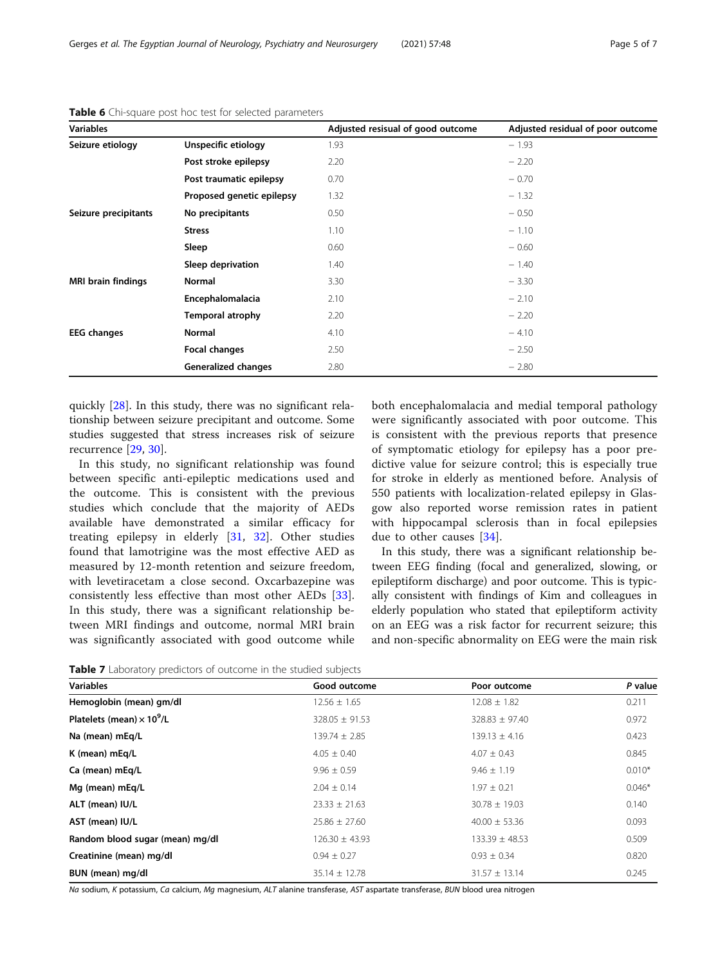| <b>Variables</b>          |                            | Adjusted resisual of good outcome | Adjusted residual of poor outcome |
|---------------------------|----------------------------|-----------------------------------|-----------------------------------|
| Seizure etiology          | Unspecific etiology        | 1.93                              | $-1.93$                           |
|                           | Post stroke epilepsy       | 2.20                              | $-2.20$                           |
|                           | Post traumatic epilepsy    | 0.70                              | $-0.70$                           |
|                           | Proposed genetic epilepsy  | 1.32                              | $-1.32$                           |
| Seizure precipitants      | No precipitants            | 0.50                              | $-0.50$                           |
|                           | <b>Stress</b>              | 1.10                              | $-1.10$                           |
|                           | Sleep                      | 0.60                              | $-0.60$                           |
|                           | Sleep deprivation          | 1.40                              | $-1.40$                           |
| <b>MRI brain findings</b> | <b>Normal</b>              | 3.30                              | $-3.30$                           |
|                           | Encephalomalacia           | 2.10                              | $-2.10$                           |
|                           | <b>Temporal atrophy</b>    | 2.20                              | $-2.20$                           |
| <b>EEG</b> changes        | <b>Normal</b>              | 4.10                              | $-4.10$                           |
|                           | Focal changes              | 2.50                              | $-2.50$                           |
|                           | <b>Generalized changes</b> | 2.80                              | $-2.80$                           |

<span id="page-4-0"></span>Table 6 Chi-square post hoc test for selected parameters

quickly [[28\]](#page-6-0). In this study, there was no significant relationship between seizure precipitant and outcome. Some studies suggested that stress increases risk of seizure recurrence [[29](#page-6-0), [30](#page-6-0)].

In this study, no significant relationship was found between specific anti-epileptic medications used and the outcome. This is consistent with the previous studies which conclude that the majority of AEDs available have demonstrated a similar efficacy for treating epilepsy in elderly [[31,](#page-6-0) [32\]](#page-6-0). Other studies found that lamotrigine was the most effective AED as measured by 12-month retention and seizure freedom, with levetiracetam a close second. Oxcarbazepine was consistently less effective than most other AEDs [\[33](#page-6-0)]. In this study, there was a significant relationship between MRI findings and outcome, normal MRI brain was significantly associated with good outcome while both encephalomalacia and medial temporal pathology were significantly associated with poor outcome. This is consistent with the previous reports that presence of symptomatic etiology for epilepsy has a poor predictive value for seizure control; this is especially true for stroke in elderly as mentioned before. Analysis of 550 patients with localization-related epilepsy in Glasgow also reported worse remission rates in patient with hippocampal sclerosis than in focal epilepsies due to other causes [[34](#page-6-0)].

In this study, there was a significant relationship between EEG finding (focal and generalized, slowing, or epileptiform discharge) and poor outcome. This is typically consistent with findings of Kim and colleagues in elderly population who stated that epileptiform activity on an EEG was a risk factor for recurrent seizure; this and non-specific abnormality on EEG were the main risk

Table 7 Laboratory predictors of outcome in the studied subjects

| <b>Variables</b>                             | Good outcome       | Poor outcome       | P value  |
|----------------------------------------------|--------------------|--------------------|----------|
| Hemoglobin (mean) gm/dl                      | $12.56 \pm 1.65$   | $12.08 \pm 1.82$   | 0.211    |
| Platelets (mean) $\times$ 10 <sup>9</sup> /L | $328.05 \pm 91.53$ | $328.83 \pm 97.40$ | 0.972    |
| Na (mean) mEg/L                              | $139.74 \pm 2.85$  | $139.13 \pm 4.16$  | 0.423    |
| K (mean) mEq/L                               | $4.05 \pm 0.40$    | $4.07 \pm 0.43$    | 0.845    |
| Ca (mean) mEg/L                              | $9.96 \pm 0.59$    | $9.46 \pm 1.19$    | $0.010*$ |
| Mg (mean) mEg/L                              | $2.04 \pm 0.14$    | $1.97 \pm 0.21$    | $0.046*$ |
| ALT (mean) IU/L                              | $23.33 \pm 21.63$  | $30.78 \pm 19.03$  | 0.140    |
| AST (mean) IU/L                              | $25.86 \pm 27.60$  | $40.00 \pm 53.36$  | 0.093    |
| Random blood sugar (mean) mg/dl              | $126.30 \pm 43.93$ | $133.39 \pm 48.53$ | 0.509    |
| Creatinine (mean) mg/dl                      | $0.94 \pm 0.27$    | $0.93 \pm 0.34$    | 0.820    |
| BUN (mean) mg/dl                             | $35.14 \pm 12.78$  | $31.57 \pm 13.14$  | 0.245    |

Na sodium, K potassium, Ca calcium, Mg magnesium, ALT alanine transferase, AST aspartate transferase, BUN blood urea nitrogen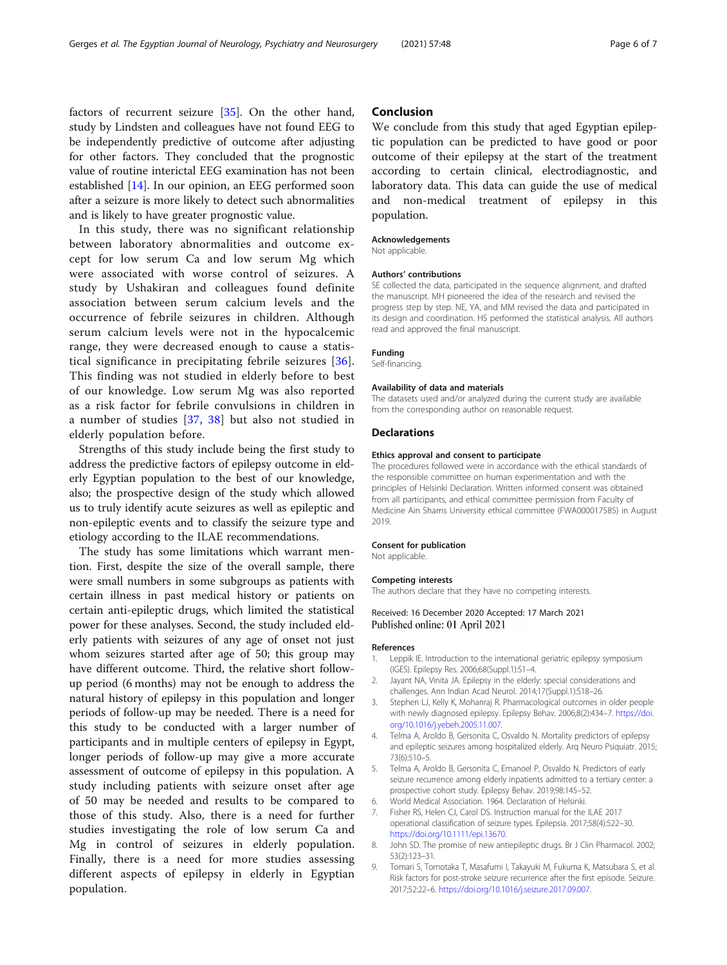<span id="page-5-0"></span>factors of recurrent seizure [[35](#page-6-0)]. On the other hand, study by Lindsten and colleagues have not found EEG to be independently predictive of outcome after adjusting for other factors. They concluded that the prognostic value of routine interictal EEG examination has not been established [[14](#page-6-0)]. In our opinion, an EEG performed soon after a seizure is more likely to detect such abnormalities and is likely to have greater prognostic value.

In this study, there was no significant relationship between laboratory abnormalities and outcome except for low serum Ca and low serum Mg which were associated with worse control of seizures. A study by Ushakiran and colleagues found definite association between serum calcium levels and the occurrence of febrile seizures in children. Although serum calcium levels were not in the hypocalcemic range, they were decreased enough to cause a statistical significance in precipitating febrile seizures [[36](#page-6-0)]. This finding was not studied in elderly before to best of our knowledge. Low serum Mg was also reported as a risk factor for febrile convulsions in children in a number of studies [[37,](#page-6-0) [38\]](#page-6-0) but also not studied in elderly population before.

Strengths of this study include being the first study to address the predictive factors of epilepsy outcome in elderly Egyptian population to the best of our knowledge, also; the prospective design of the study which allowed us to truly identify acute seizures as well as epileptic and non-epileptic events and to classify the seizure type and etiology according to the ILAE recommendations.

The study has some limitations which warrant mention. First, despite the size of the overall sample, there were small numbers in some subgroups as patients with certain illness in past medical history or patients on certain anti-epileptic drugs, which limited the statistical power for these analyses. Second, the study included elderly patients with seizures of any age of onset not just whom seizures started after age of 50; this group may have different outcome. Third, the relative short followup period (6 months) may not be enough to address the natural history of epilepsy in this population and longer periods of follow-up may be needed. There is a need for this study to be conducted with a larger number of participants and in multiple centers of epilepsy in Egypt, longer periods of follow-up may give a more accurate assessment of outcome of epilepsy in this population. A study including patients with seizure onset after age of 50 may be needed and results to be compared to those of this study. Also, there is a need for further studies investigating the role of low serum Ca and Mg in control of seizures in elderly population. Finally, there is a need for more studies assessing different aspects of epilepsy in elderly in Egyptian population.

### Conclusion

We conclude from this study that aged Egyptian epileptic population can be predicted to have good or poor outcome of their epilepsy at the start of the treatment according to certain clinical, electrodiagnostic, and laboratory data. This data can guide the use of medical and non-medical treatment of epilepsy in this population.

#### Acknowledgements

Not applicable.

#### Authors' contributions

SE collected the data, participated in the sequence alignment, and drafted the manuscript. MH pioneered the idea of the research and revised the progress step by step. NE, YA, and MM revised the data and participated in its design and coordination. HS performed the statistical analysis. All authors read and approved the final manuscript.

#### Funding

Self-financing.

#### Availability of data and materials

The datasets used and/or analyzed during the current study are available from the corresponding author on reasonable request.

#### Declarations

#### Ethics approval and consent to participate

The procedures followed were in accordance with the ethical standards of the responsible committee on human experimentation and with the principles of Helsinki Declaration. Written informed consent was obtained from all participants, and ethical committee permission from Faculty of Medicine Ain Shams University ethical committee (FWA000017585) in August 2019.

#### Consent for publication

Not applicable

#### Competing interests

The authors declare that they have no competing interests.

#### Received: 16 December 2020 Accepted: 17 March 2021 Published online: 01 April 2021

#### References

- 1. Leppik IE. Introduction to the international geriatric epilepsy symposium (IGES). Epilepsy Res. 2006;68(Suppl.1):S1–4.
- 2. Jayant NA, Vinita JA. Epilepsy in the elderly: special considerations and challenges. Ann Indian Acad Neurol. 2014;17(Suppl.1):S18–26.
- 3. Stephen LJ, Kelly K, Mohanraj R. Pharmacological outcomes in older people with newly diagnosed epilepsy. Epilepsy Behav. 2006;8(2):434–7. [https://doi.](https://doi.org/10.1016/j.yebeh.2005.11.007) [org/10.1016/j.yebeh.2005.11.007.](https://doi.org/10.1016/j.yebeh.2005.11.007)
- 4. Telma A, Aroldo B, Gersonita C, Osvaldo N. Mortality predictors of epilepsy and epileptic seizures among hospitalized elderly. Arq Neuro Psiquiatr. 2015; 73(6):510–5.
- 5. Telma A, Aroldo B, Gersonita C, Emanoel P, Osvaldo N. Predictors of early seizure recurrence among elderly inpatients admitted to a tertiary center: a prospective cohort study. Epilepsy Behav. 2019;98:145–52.
- 6. World Medical Association. 1964. Declaration of Helsinki.
- 7. Fisher RS, Helen CJ, Carol DS. Instruction manual for the ILAE 2017 operational classification of seizure types. Epilepsia. 2017;58(4):522–30. [https://doi.org/10.1111/epi.13670.](https://doi.org/10.1111/epi.13670)
- 8. John SD. The promise of new antiepileptic drugs. Br J Clin Pharmacol. 2002; 53(2):123–31.
- 9. Tomari S, Tomotaka T, Masafumi I, Takayuki M, Fukuma K, Matsubara S, et al. Risk factors for post-stroke seizure recurrence after the first episode. Seizure. 2017;52:22–6. <https://doi.org/10.1016/j.seizure.2017.09.007>.